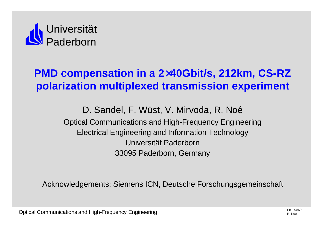

# **PMD compensation in a 2´40Gbit/s, 212km, CS-RZ polarization multiplexed transmission experiment**

D. Sandel, F. Wüst, V. Mirvoda, R. Noé Optical Communications and High-Frequency Engineering Electrical Engineering and Information Technology Universität Paderborn 33095 Paderborn, Germany

Acknowledgements: Siemens ICN, Deutsche Forschungsgemeinschaft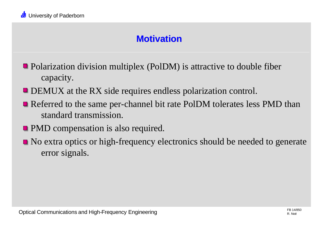# **Motivation**

- Polarization division multiplex (PolDM) is attractive to double fiber capacity.
- **DEMUX** at the RX side requires endless polarization control.
- Referred to the same per-channel bit rate PolDM tolerates less PMD than standard transmission.
- **PMD** compensation is also required.
- $\blacksquare$  No extra optics or high-frequency electronics should be needed to generate error signals.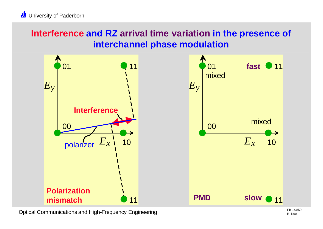## **Interference and RZ arrival time variation in the presence of interchannel phase modulation**



Optical Communications and High-Frequency Engineering FB 14/850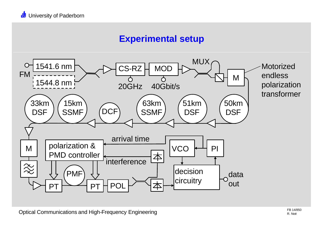#### **Experimental setup**

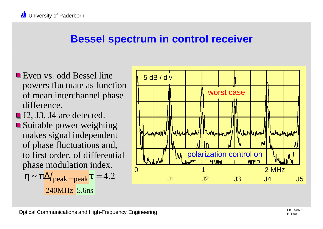# **Bessel spectrum in control receiver**

- Even vs. odd Bessel line powers fluctuate as function of mean interchannel phase difference.
- J2, J3, J4 are detected. ■ Suitable power weighting makes signal independent of phase fluctuations and, to first order, of differential phase modulation index.

$$
h \sim p \Delta f_{\text{peak}-\text{peak}} t = 4.2
$$
  
240MHz 5.6ns

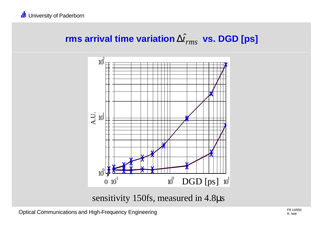# $\bm{\mathsf{rms}}$  arrival time variation  $\Delta \hat{t}_{rms}$  vs. DGD [ps]



sensitivity 150fs, measured in 4.8μs

Optical Communications and High-Frequency Engineering FB 14/850<br>R. Noé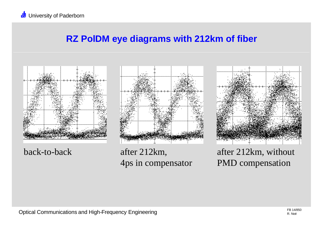#### **RZ PolDM eye diagrams with 212km of fiber**



back-to-back after 212km,



4ps in compensator



after 212km, without PMD compensation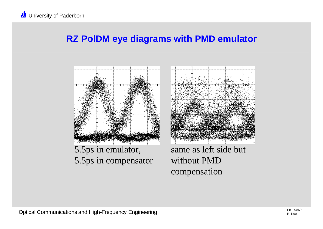#### **RZ PolDM eye diagrams with PMD emulator**





same as left side but without PMD compensation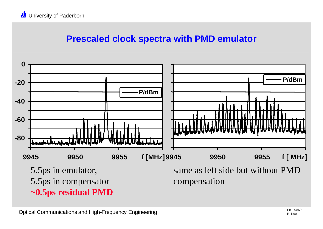#### **Prescaled clock spectra with PMD emulator**

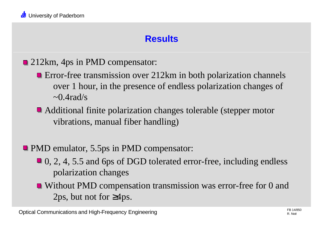## **Results**

- **212km, 4ps in PMD compensator:** 
	- Error-free transmission over 212km in both polarization channels over 1 hour, in the presence of endless polarization changes of  $\sim 0.4$ rad/s
	- Additional finite polarization changes tolerable (stepper motor vibrations, manual fiber handling)
- **PMD** emulator, 5.5ps in PMD compensator:
	- 0, 2, 4, 5.5 and 6ps of DGD tolerated error-free, including endless polarization changes
	- Without PMD compensation transmission was error-free for 0 and 2ps, but not for  $\geq 4$ ps.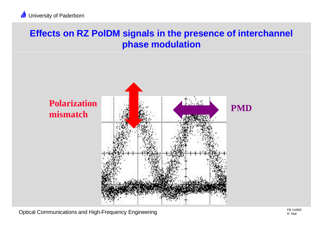## **Effects on RZ PolDM signals in the presence of interchannel phase modulation**



Optical Communications and High-Frequency Engineering FB 14/850<br>R. Noé